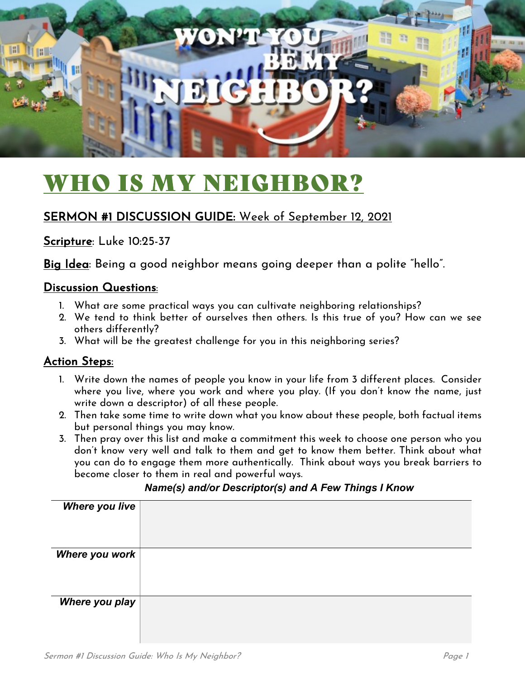

# WHO IS MY NEIGHBOR?

### SERMON #1 DISCUSSION GUIDE: Week of September 12, 2021

Scripture: Luke 10:25-37

Big Idea: Being a good neighbor means going deeper than a polite "hello".

#### Discussion Questions:

- 1. What are some practical ways you can cultivate neighboring relationships?
- 2. We tend to think better of ourselves then others. Is this true of you? How can we see others differently?
- 3. What will be the greatest challenge for you in this neighboring series?

#### Action Steps:

- 1. Write down the names of people you know in your life from 3 different places. Consider where you live, where you work and where you play. (If you don't know the name, just write down a descriptor) of all these people.
- 2. Then take some time to write down what you know about these people, both factual items but personal things you may know.
- 3. Then pray over this list and make a commitment this week to choose one person who you don't know very well and talk to them and get to know them better. Think about what you can do to engage them more authentically. Think about ways you break barriers to become closer to them in real and powerful ways.

#### *Name(s) and/or Descriptor(s) and A Few Things I Know*

| <b>Where you live</b> |  |
|-----------------------|--|
| Where you work        |  |
| Where you play        |  |